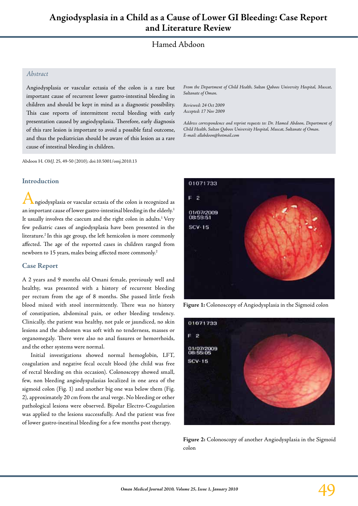# Hamed Abdoon

## *Abstract*

Angiodysplasia or vascular ectasia of the colon is a rare but important cause of recurrent lower gastro-intestinal bleeding in children and should be kept in mind as a diagnostic possibility. This case reports of intermittent rectal bleeding with early presentation caused by angiodysplasia. Therefore, early diagnosis of this rare lesion is important to avoid a possible fatal outcome, and thus the pediatrician should be aware of this lesion as a rare cause of intestinal bleeding in children.

Abdoon H*. OMJ.* 25, 49-50 (2010); doi:10.5001/omj.2010.13

### **Introduction**

ngiodysplasia or vascular ectasia of the colon is recognized as an important cause of lower gastro-intestinal bleeding in the elderly.<sup>1</sup> It usually involves the caecum and the right colon in adults.<sup>1</sup> Very few pediatric cases of angiodysplasia have been presented in the literature.<sup>2</sup> In this age group, the left hemicolon is more commonly affected. The age of the reported cases in children ranged from newborn to 15 years, males being affected more commonly.<sup>2</sup>

## **Case Report**

A 2 years and 9 months old Omani female, previously well and healthy, was presented with a history of recurrent bleeding per rectum from the age of 8 months. She passed little fresh blood mixed with stool intermittently. There was no history of constipation, abdominal pain, or other bleeding tendency. Clinically, the patient was healthy, not pale or jaundiced, no skin lesions and the abdomen was soft with no tenderness, masses or organomegaly. There were also no anal fissures or hemorrhoids, and the other systems were normal.

Initial investigations showed normal hemoglobin, LFT, coagulation and negative fecal occult blood (the child was free of rectal bleeding on this occasion). Colonoscopy showed small, few, non bleeding angiodyspalasias localized in one area of the sigmoid colon (Fig. 1) and another big one was below them (Fig. 2), approximately 20 cm from the anal verge. No bleeding or other pathological lesions were observed. Bipolar Electro-Coagulation was applied to the lesions successfully. And the patient was free of lower gastro-inestinal bleeding for a few months post therapy.

*From the Department of Child Health, Sultan Qaboos University Hospital, Muscat, Sultanate of Oman.*

*Reviewed: 24 Oct 2009 Accepted: 17 Nov 2009*

*Address correspondence and reprint requests to: Dr. Hamed Abdoon, Department of Child Health, Sultan Qaboos University Hospital, Muscat, Sultanate of Oman. E-mail: allabdoon@hotmail.com*



**Figure 1:** Colonoscopy of Angiodysplasia in the Sigmoid colon



**Figure 2:** Colonoscopy of another Angiodysplasia in the Sigmoid colon